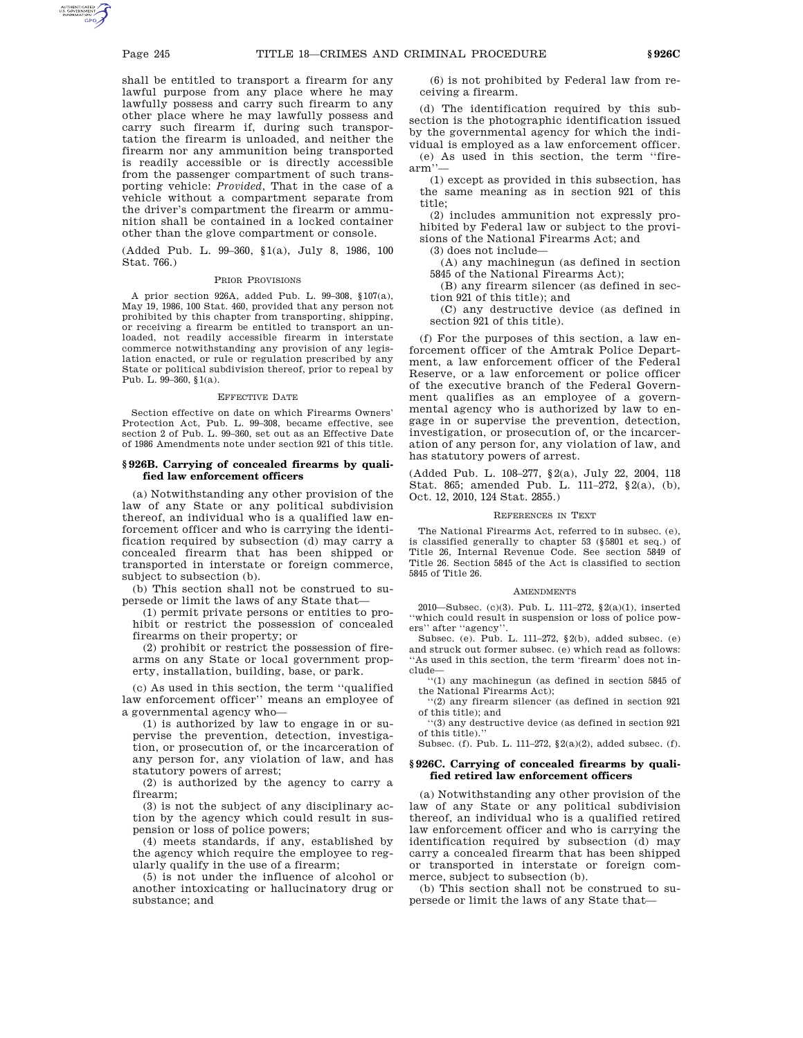shall be entitled to transport a firearm for any lawful purpose from any place where he may lawfully possess and carry such firearm to any other place where he may lawfully possess and carry such firearm if, during such transportation the firearm is unloaded, and neither the firearm nor any ammunition being transported is readily accessible or is directly accessible from the passenger compartment of such transporting vehicle: *Provided*, That in the case of a vehicle without a compartment separate from the driver's compartment the firearm or ammunition shall be contained in a locked container other than the glove compartment or console.

(Added Pub. L. 99–360, §1(a), July 8, 1986, 100 Stat. 766.)

## PRIOR PROVISIONS

A prior section 926A, added Pub. L. 99–308, §107(a), May 19, 1986, 100 Stat. 460, provided that any person not prohibited by this chapter from transporting, shipping, or receiving a firearm be entitled to transport an unloaded, not readily accessible firearm in interstate commerce notwithstanding any provision of any legislation enacted, or rule or regulation prescribed by any State or political subdivision thereof, prior to repeal by Pub. L. 99–360, §1(a).

## EFFECTIVE DATE

Section effective on date on which Firearms Owners' Protection Act, Pub. L. 99–308, became effective, see section 2 of Pub. L. 99–360, set out as an Effective Date of 1986 Amendments note under section 921 of this title.

# **§ 926B. Carrying of concealed firearms by qualified law enforcement officers**

(a) Notwithstanding any other provision of the law of any State or any political subdivision thereof, an individual who is a qualified law enforcement officer and who is carrying the identification required by subsection (d) may carry a concealed firearm that has been shipped or transported in interstate or foreign commerce, subject to subsection (b).

(b) This section shall not be construed to supersede or limit the laws of any State that—

(1) permit private persons or entities to prohibit or restrict the possession of concealed firearms on their property; or

(2) prohibit or restrict the possession of firearms on any State or local government property, installation, building, base, or park.

(c) As used in this section, the term ''qualified law enforcement officer'' means an employee of a governmental agency who—

(1) is authorized by law to engage in or supervise the prevention, detection, investigation, or prosecution of, or the incarceration of any person for, any violation of law, and has statutory powers of arrest;

(2) is authorized by the agency to carry a firearm;

(3) is not the subject of any disciplinary action by the agency which could result in suspension or loss of police powers;

(4) meets standards, if any, established by the agency which require the employee to regularly qualify in the use of a firearm;

(5) is not under the influence of alcohol or another intoxicating or hallucinatory drug or substance; and

(6) is not prohibited by Federal law from receiving a firearm.

(d) The identification required by this subsection is the photographic identification issued by the governmental agency for which the individual is employed as a law enforcement officer.

(e) As used in this section, the term ''firearm''—

(1) except as provided in this subsection, has the same meaning as in section 921 of this title;

(2) includes ammunition not expressly prohibited by Federal law or subject to the provisions of the National Firearms Act; and

(3) does not include—

(A) any machinegun (as defined in section 5845 of the National Firearms Act);

(B) any firearm silencer (as defined in section 921 of this title); and

(C) any destructive device (as defined in section 921 of this title).

(f) For the purposes of this section, a law enforcement officer of the Amtrak Police Department, a law enforcement officer of the Federal Reserve, or a law enforcement or police officer of the executive branch of the Federal Government qualifies as an employee of a governmental agency who is authorized by law to engage in or supervise the prevention, detection, investigation, or prosecution of, or the incarceration of any person for, any violation of law, and has statutory powers of arrest.

(Added Pub. L. 108–277, §2(a), July 22, 2004, 118 Stat. 865; amended Pub. L. 111–272, §2(a), (b), Oct. 12, 2010, 124 Stat. 2855.)

## REFERENCES IN TEXT

The National Firearms Act, referred to in subsec. (e), is classified generally to chapter 53 (§5801 et seq.) of Title 26, Internal Revenue Code. See section 5849 of Title 26. Section 5845 of the Act is classified to section 5845 of Title 26.

#### **AMENDMENTS**

2010—Subsec. (c)(3). Pub. L. 111–272, §2(a)(1), inserted ''which could result in suspension or loss of police powers" after "agency".

Subsec. (e). Pub. L. 111–272, §2(b), added subsec. (e) and struck out former subsec. (e) which read as follows: ''As used in this section, the term 'firearm' does not include—

''(1) any machinegun (as defined in section 5845 of the National Firearms Act);

''(2) any firearm silencer (as defined in section 921 of this title); and

''(3) any destructive device (as defined in section 921 of this title).''

Subsec. (f). Pub. L. 111–272, §2(a)(2), added subsec. (f).

# **§ 926C. Carrying of concealed firearms by qualified retired law enforcement officers**

(a) Notwithstanding any other provision of the law of any State or any political subdivision thereof, an individual who is a qualified retired law enforcement officer and who is carrying the identification required by subsection (d) may carry a concealed firearm that has been shipped or transported in interstate or foreign commerce, subject to subsection (b).

(b) This section shall not be construed to supersede or limit the laws of any State that—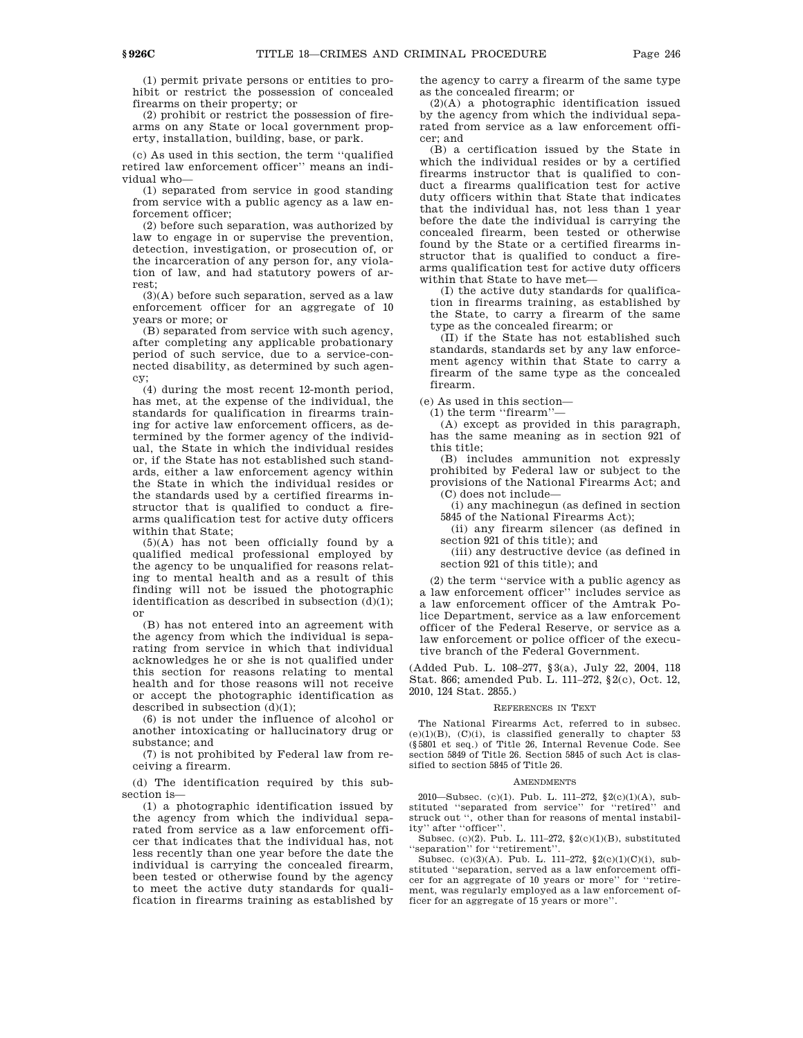(1) permit private persons or entities to prohibit or restrict the possession of concealed firearms on their property; or

(2) prohibit or restrict the possession of firearms on any State or local government property, installation, building, base, or park.

(c) As used in this section, the term ''qualified retired law enforcement officer'' means an individual who—

(1) separated from service in good standing from service with a public agency as a law enforcement officer;

(2) before such separation, was authorized by law to engage in or supervise the prevention, detection, investigation, or prosecution of, or the incarceration of any person for, any violation of law, and had statutory powers of arrest;

(3)(A) before such separation, served as a law enforcement officer for an aggregate of 10 years or more; or

(B) separated from service with such agency, after completing any applicable probationary period of such service, due to a service-connected disability, as determined by such agency;

(4) during the most recent 12-month period, has met, at the expense of the individual, the standards for qualification in firearms training for active law enforcement officers, as determined by the former agency of the individual, the State in which the individual resides or, if the State has not established such standards, either a law enforcement agency within the State in which the individual resides or the standards used by a certified firearms instructor that is qualified to conduct a firearms qualification test for active duty officers within that State;

(5)(A) has not been officially found by a qualified medical professional employed by the agency to be unqualified for reasons relating to mental health and as a result of this finding will not be issued the photographic identification as described in subsection  $(d)(1)$ ; or

(B) has not entered into an agreement with the agency from which the individual is separating from service in which that individual acknowledges he or she is not qualified under this section for reasons relating to mental health and for those reasons will not receive or accept the photographic identification as described in subsection  $(d)(1)$ ;

(6) is not under the influence of alcohol or another intoxicating or hallucinatory drug or substance; and

(7) is not prohibited by Federal law from receiving a firearm.

(d) The identification required by this subsection is—

(1) a photographic identification issued by the agency from which the individual separated from service as a law enforcement officer that indicates that the individual has, not less recently than one year before the date the individual is carrying the concealed firearm, been tested or otherwise found by the agency to meet the active duty standards for qualification in firearms training as established by

the agency to carry a firearm of the same type as the concealed firearm; or

(2)(A) a photographic identification issued by the agency from which the individual separated from service as a law enforcement officer; and

(B) a certification issued by the State in which the individual resides or by a certified firearms instructor that is qualified to conduct a firearms qualification test for active duty officers within that State that indicates that the individual has, not less than 1 year before the date the individual is carrying the concealed firearm, been tested or otherwise found by the State or a certified firearms instructor that is qualified to conduct a firearms qualification test for active duty officers within that State to have met—

(I) the active duty standards for qualification in firearms training, as established by the State, to carry a firearm of the same type as the concealed firearm; or

(II) if the State has not established such standards, standards set by any law enforcement agency within that State to carry a firearm of the same type as the concealed firearm.

(e) As used in this section—

(1) the term ''firearm''—

(A) except as provided in this paragraph, has the same meaning as in section 921 of this title;

(B) includes ammunition not expressly prohibited by Federal law or subject to the provisions of the National Firearms Act; and (C) does not include—

(i) any machinegun (as defined in section 5845 of the National Firearms Act);

(ii) any firearm silencer (as defined in section 921 of this title); and

(iii) any destructive device (as defined in section 921 of this title); and

(2) the term ''service with a public agency as a law enforcement officer'' includes service as a law enforcement officer of the Amtrak Police Department, service as a law enforcement officer of the Federal Reserve, or service as a law enforcement or police officer of the executive branch of the Federal Government.

(Added Pub. L. 108–277, §3(a), July 22, 2004, 118 Stat. 866; amended Pub. L. 111–272, §2(c), Oct. 12, 2010, 124 Stat. 2855.)

## REFERENCES IN TEXT

The National Firearms Act, referred to in subsec.  $(e)(1)(B)$ ,  $(C)(i)$ , is classified generally to chapter 53 (§5801 et seq.) of Title 26, Internal Revenue Code. See section 5849 of Title 26. Section 5845 of such Act is classified to section 5845 of Title 26.

#### **AMENDMENTS**

2010—Subsec. (c)(1). Pub. L. 111–272,  $\S2(c)(1)(A)$ , substituted "separated from service" for "retired" and struck out '', other than for reasons of mental instability'' after ''officer''.

Subsec. (c)(2). Pub. L. 111–272, §2(c)(1)(B), substituted ''separation'' for ''retirement''.

Subsec. (c)(3)(A). Pub. L. 111–272, §2(c)(1)(C)(i), substituted ''separation, served as a law enforcement officer for an aggregate of 10 years or more'' for ''retirement, was regularly employed as a law enforcement officer for an aggregate of 15 years or more''.